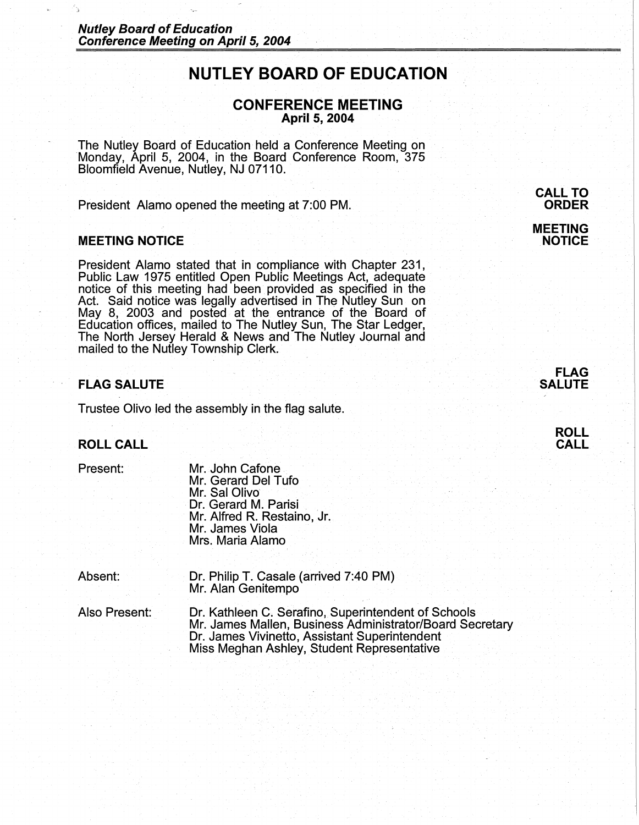# **NUTLEY BOARD OF EDUCATION**

# **CONFERENCE MEETING April 5, 2004**

The Nutley Board of Education held a Conference Meeting on Monday, April 5, 2004, in the Board Conference Room, 375 Bloomfield Avenue, Nutley, NJ 07110.

President Alamo opened the meeting at 7:00 PM.

## **MEETING NOTICE**

President Alamo stated that in compliance with Chapter 231, Public Law 1975 entitled Open Public Meetings Act, adequate notice of this meeting had been provided as specified in the Act. Said notice was legally advertised in The Nutley Sun on May 8, 2003 and posted at the entrance of the Board of Education offices, mailed to The Nutley Sun, The Star Ledger, The North Jersey Herald & News and The Nutley Journal and mailed to the Nutley Township Clerk.

# **FLAG SALUTE**

Trustee Olivo led the assembly in the flag salute.

## **ROLL CALL**

Present:

Mr. John Cafone Mr. Gerard Del Tufo Mr. Sal Olivo Dr. Gerard M. Parisi Mr. Alfred R. Restaino, Jr. Mr. James Viola Mrs. Maria Alamo

Absent: Dr. Philip T. Casale (arrived 7:40 PM) Mr. Alan Genitempo

Also Present: Dr. Kathleen C. Serafino, Superintendent of Schools Mr. James Mallen, Business Administrator/Board Secretary Dr. James Vivinetto, Assistant Superintendent Miss Meghan Ashley, Student Representative

**CALL TO ORDER MEETING NOTICE** 



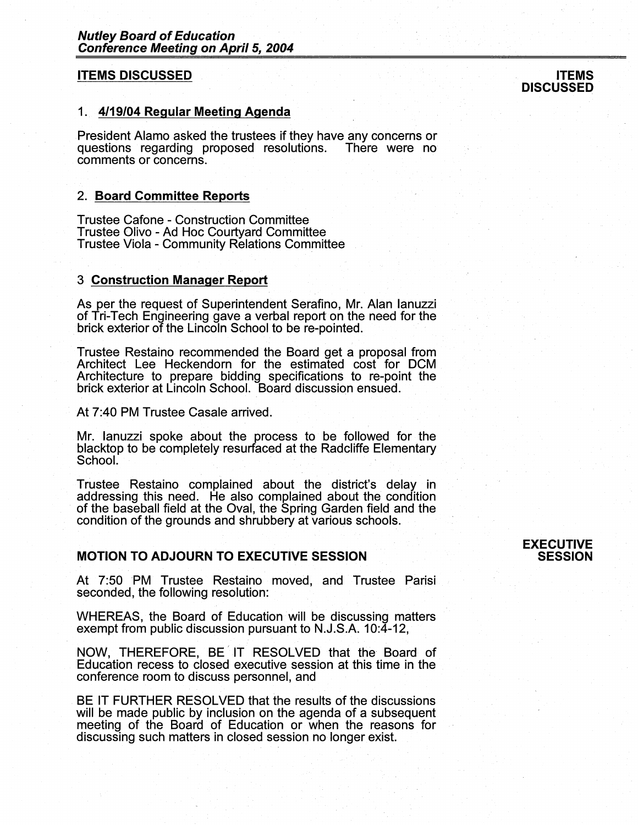# **ITEMS DISCUSSED**

## 1. **4119/04 Regular Meeting Agenda**

President Alamo asked the trustees if they have any concerns or questions regarding proposed resolutions. There were no comments or concerns.

## 2. **Board Committee Reports**

Trustee Catone - Construction Committee Trustee Olivo - Ad Hoc Courtyard Committee Trustee Viola - Community Relations Committee

#### 3 **Construction Manager Report**

As per the request of Superintendent Serafino, Mr. Alan Ianuzzi of Tri-Tech Engineering gave a verbal report on the need for the brick exterior of the Lincoln School to be re-pointed.

Trustee Restaino recommended the Board get a proposal from Architect Lee Heckendorn for the estimated cost for DCM Architecture to prepare bidding specifications to re-point the brick exterior at Lincoln School. Board discussion ensued.

At 7:40 PM Trustee Casale arrived.

Mr. Ianuzzi spoke about the process to be followed for the blacktop to be completely resurfaced at the Radcliffe Elementary School.

Trustee Restaino complained about the district's delay in addressing this need. He also complained about the condition of the baseball field at the Oval, the Spring Garden field and the condition of the grounds and shrubbery at various schools.

## **MOTION TO ADJOURN TO EXECUTIVE SESSION**

At 7:50 PM Trustee Restaino moved, and Trustee Parisi seconded, the following resolution:

WHEREAS, the Board of Education will be discussing matters exempt from public discussion pursuant to N.J.S.A. 10:4-12,

NOW, THEREFORE, BE IT RESOLVED that the Board of Education recess to closed executive session at this time in the conference room to discuss personnel, and

BE IT FURTHER RESOLVED that the results of the discussions will be made public by inclusion on the agenda of a subsequent meeting of the Board of Education or when the reasons for discussing such matters in closed session no longer exist.

#### **EXECUTIVE SESSION**

#### **ITEMS DISCUSSED**